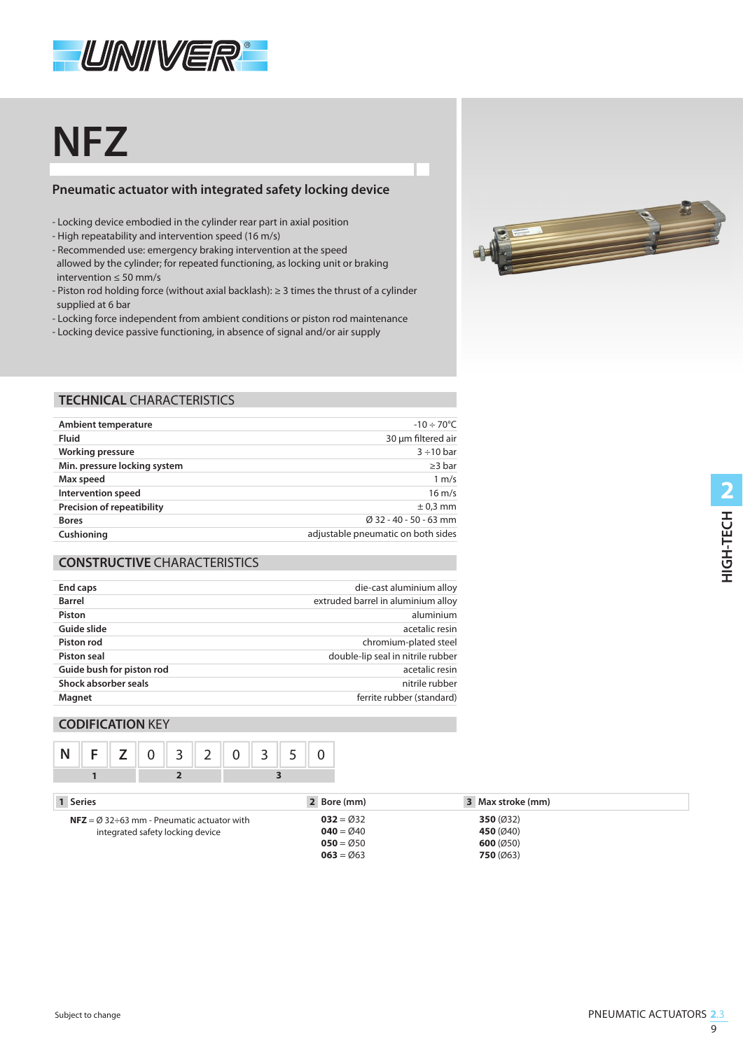

# **NFZ**

## **Pneumatic actuator with integrated safety locking device**

- Locking device embodied in the cylinder rear part in axial position
- High repeatability and intervention speed (16 m/s)
- Recommended use: emergency braking intervention at the speed allowed by the cylinder; for repeated functioning, as locking unit or braking intervention ≤ 50 mm/s
- Piston rod holding force (without axial backlash): ≥ 3 times the thrust of a cylinder supplied at 6 bar
- Locking force independent from ambient conditions or piston rod maintenance
- Locking device passive functioning, in absence of signal and/or air supply



#### **TECHNICAL** CHARACTERISTICS

| Ambient temperature               | $-10 \div 70^{\circ}$ C            |
|-----------------------------------|------------------------------------|
| <b>Fluid</b>                      | 30 µm filtered air                 |
| <b>Working pressure</b>           | $3 \div 10$ bar                    |
| Min. pressure locking system      | $\geq$ 3 bar                       |
| Max speed                         | 1 m/s                              |
| Intervention speed                | $16 \text{ m/s}$                   |
| <b>Precision of repeatibility</b> | $\pm$ 0,3 mm                       |
| <b>Bores</b>                      | Ø 32 - 40 - 50 - 63 mm             |
| Cushioning                        | adjustable pneumatic on both sides |
|                                   |                                    |

#### **CONSTRUCTIVE** CHARACTERISTICS

| End caps                  | die-cast aluminium alloy           |
|---------------------------|------------------------------------|
| <b>Barrel</b>             | extruded barrel in aluminium alloy |
| Piston                    | aluminium                          |
| Guide slide               | acetalic resin                     |
| Piston rod                | chromium-plated steel              |
| Piston seal               | double-lip seal in nitrile rubber  |
| Guide bush for piston rod | acetalic resin                     |
| Shock absorber seals      | nitrile rubber                     |
| Magnet                    | ferrite rubber (standard)          |
|                           |                                    |

#### **CODIFICATION** KEY



| 1 Series                                                      | 2 Bore (mm) | 3 Max stroke (mm) |  |
|---------------------------------------------------------------|-------------|-------------------|--|
| <b>NFZ</b> = $\varnothing$ 32÷63 mm - Pneumatic actuator with | $032 = 032$ | 350 $(032)$       |  |
| integrated safety locking device                              | $040 = 040$ | 450 $(040)$       |  |
|                                                               | $050 = 050$ | 600(050)          |  |
|                                                               | $063 = 063$ | 750(063)          |  |
|                                                               |             |                   |  |